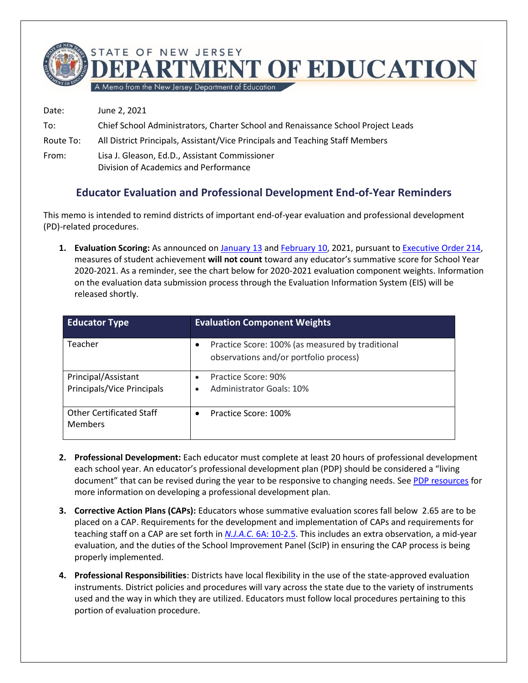

A Memo from the New Jersey Department of Education

Date: June 2, 2021 To: Chief School Administrators, Charter School and Renaissance School Project Leads Route To: All District Principals, Assistant/Vice Principals and Teaching Staff Members From: Lisa J. Gleason, Ed.D., Assistant Commissioner Division of Academics and Performance

## **Educator Evaluation and Professional Development End-of-Year Reminders**

This memo is intended to remind districts of important end-of-year evaluation and professional development (PD)-related procedures.

**1. Evaluation Scoring:** As announced on [January 13](https://www.nj.gov/education/broadcasts/2021/jan/13/Gov%20Murphy%20Signs%20Executive%20Order%20214%20Regarding%20Graduation%20Assessment%20Requirements%20Educator%20Evaluation%20and%20Time%20Limitations%20for%20Certain%20Substitute%20Teachers.pdf) and [February 10,](https://www.nj.gov/education/broadcasts/2021/feb/Executive%20Order%20Regarding%20the%20Use%20of%20Student%20Growth%20Data%20in%20Educator%20Evaluations.pdf) 2021, pursuant to [Executive Order 214,](https://nj.gov/infobank/eo/056murphy/pdf/EO-214.pdf) measures of student achievement **will not count** toward any educator's summative score for School Year 2020-2021. As a reminder, see the chart below for 2020-2021 evaluation component weights. Information on the evaluation data submission process through the Evaluation Information System (EIS) will be released shortly.

| <b>Educator Type</b>                              | <b>Evaluation Component Weights</b>                                                             |
|---------------------------------------------------|-------------------------------------------------------------------------------------------------|
| Teacher                                           | Practice Score: 100% (as measured by traditional<br>٠<br>observations and/or portfolio process) |
| Principal/Assistant<br>Principals/Vice Principals | Practice Score: 90%<br>$\bullet$<br><b>Administrator Goals: 10%</b><br>٠                        |
| <b>Other Certificated Staff</b><br><b>Members</b> | Practice Score: 100%<br>٠                                                                       |

- **2. Professional Development:** Each educator must complete at least 20 hours of professional development each school year. An educator's professional development plan (PDP) should be considered a "living document" that can be revised during the year to be responsive to changing needs. Se[e PDP resources](https://www.nj.gov/education/profdev/pdp/ipdp/) for more information on developing a professional development plan.
- **3. Corrective Action Plans (CAPs):** Educators whose summative evaluation scores fall below 2.65 are to be placed on a CAP. Requirements for the development and implementation of CAPs and requirements for teaching staff on a CAP are set forth in *N.J.A.C.* [6A: 10-2.5.](https://www.nj.gov/education/code/current/title6a/chap10.pdf) This includes an extra observation, a mid-year evaluation, and the duties of the School Improvement Panel (ScIP) in ensuring the CAP process is being properly implemented.
- **4. Professional Responsibilities**: Districts have local flexibility in the use of the state-approved evaluation instruments. District policies and procedures will vary across the state due to the variety of instruments used and the way in which they are utilized. Educators must follow local procedures pertaining to this portion of evaluation procedure.